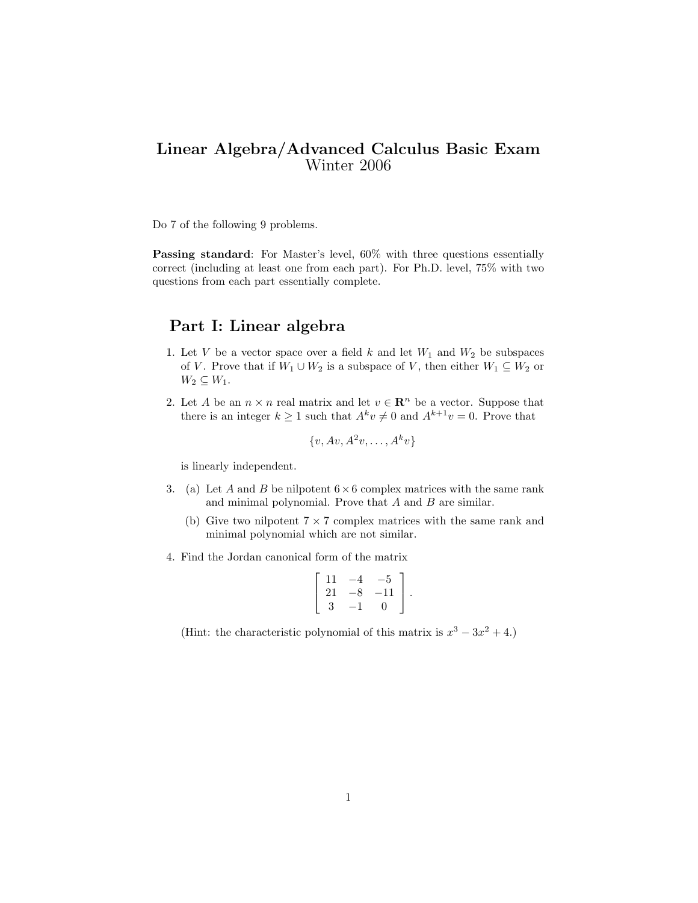## Linear Algebra/Advanced Calculus Basic Exam Winter 2006

Do 7 of the following 9 problems.

Passing standard: For Master's level,  $60\%$  with three questions essentially correct (including at least one from each part). For Ph.D. level, 75% with two questions from each part essentially complete.

## Part I: Linear algebra

- 1. Let V be a vector space over a field k and let  $W_1$  and  $W_2$  be subspaces of V. Prove that if  $W_1 \cup W_2$  is a subspace of V, then either  $W_1 \subseteq W_2$  or  $W_2 \subseteq W_1$ .
- 2. Let A be an  $n \times n$  real matrix and let  $v \in \mathbb{R}^n$  be a vector. Suppose that there is an integer  $k \ge 1$  such that  $A^k v \ne 0$  and  $A^{k+1}v = 0$ . Prove that

$$
\{v, Av, A^2v, \dots, A^kv\}
$$

is linearly independent.

- 3. (a) Let A and B be nilpotent  $6 \times 6$  complex matrices with the same rank and minimal polynomial. Prove that  $A$  and  $B$  are similar.
	- (b) Give two nilpotent  $7 \times 7$  complex matrices with the same rank and minimal polynomial which are not similar.
- 4. Find the Jordan canonical form of the matrix

$$
\left[\begin{array}{rrr} 11 & -4 & -5 \\ 21 & -8 & -11 \\ 3 & -1 & 0 \end{array}\right].
$$

(Hint: the characteristic polynomial of this matrix is  $x^3 - 3x^2 + 4$ .)